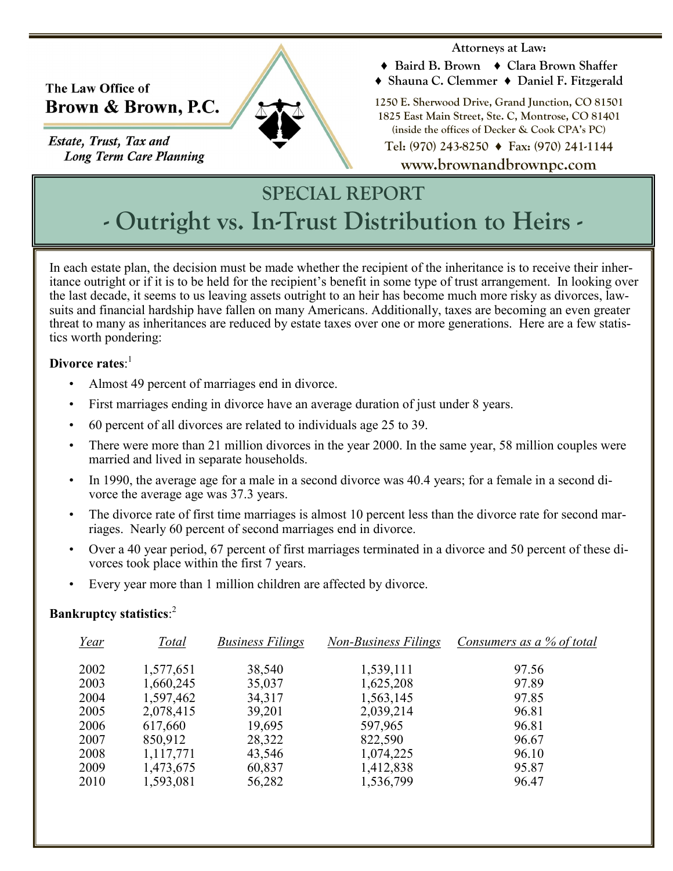### The Law Office of Brown & Brown, P.C.

**Estate, Trust, Tax and Long Term Care Planning** 

#### **Attorneys at Law:**

- **♦ Baird B. Brown ♦ Clara Brown Shaffer**
- **♦ Shauna C. Clemmer ♦ Daniel F. Fitzgerald**

**1250 E. Sherwood Drive, Grand Junction, CO 81501 1825 East Main Street, Ste. C, Montrose, CO 81401 (inside the offices of Decker & Cook CPA's PC)** 

**Tel: (970) 243-8250 ♦ Fax: (970) 241-1144**

**www.brownandbrownpc.com**

# **SPECIAL REPORT - Outright vs. In-Trust Distribution to Heirs -**

In each estate plan, the decision must be made whether the recipient of the inheritance is to receive their inheritance outright or if it is to be held for the recipient's benefit in some type of trust arrangement. In looking over the last decade, it seems to us leaving assets outright to an heir has become much more risky as divorces, lawsuits and financial hardship have fallen on many Americans. Additionally, taxes are becoming an even greater threat to many as inheritances are reduced by estate taxes over one or more generations. Here are a few statistics worth pondering:

#### **Divorce rates**: 1

- Almost 49 percent of marriages end in divorce.
- First marriages ending in divorce have an average duration of just under 8 years.
- 60 percent of all divorces are related to individuals age 25 to 39.
- There were more than 21 million divorces in the year 2000. In the same year, 58 million couples were married and lived in separate households.
- In 1990, the average age for a male in a second divorce was 40.4 years; for a female in a second divorce the average age was 37.3 years.
- The divorce rate of first time marriages is almost 10 percent less than the divorce rate for second marriages. Nearly 60 percent of second marriages end in divorce.
- Over a 40 year period, 67 percent of first marriages terminated in a divorce and 50 percent of these divorces took place within the first 7 years.
- Every year more than 1 million children are affected by divorce.

#### **Bankruptcy statistics**: 2

| <u>Year</u> | Total     | <b>Business Filings</b> | <b>Non-Business Filings</b> | Consumers as a % of total |
|-------------|-----------|-------------------------|-----------------------------|---------------------------|
| 2002        | 1,577,651 | 38,540                  | 1,539,111                   | 97.56                     |
| 2003        | 1,660,245 | 35,037                  | 1,625,208                   | 97.89                     |
| 2004        | 1,597,462 | 34,317                  | 1,563,145                   | 97.85                     |
| 2005        | 2,078,415 | 39,201                  | 2,039,214                   | 96.81                     |
| 2006        | 617,660   | 19,695                  | 597,965                     | 96.81                     |
| 2007        | 850,912   | 28,322                  | 822,590                     | 96.67                     |
| 2008        | 1,117,771 | 43,546                  | 1,074,225                   | 96.10                     |
| 2009        | 1,473,675 | 60,837                  | 1,412,838                   | 95.87                     |
| 2010        | 1,593,081 | 56,282                  | 1,536,799                   | 96.47                     |
|             |           |                         |                             |                           |